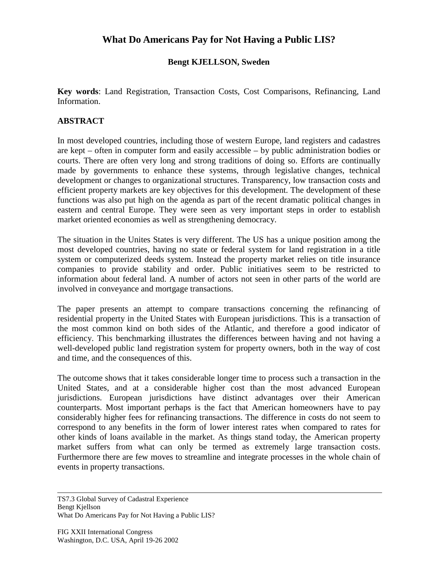## **What Do Americans Pay for Not Having a Public LIS?**

## **Bengt KJELLSON, Sweden**

**Key words**: Land Registration, Transaction Costs, Cost Comparisons, Refinancing, Land Information.

## **ABSTRACT**

In most developed countries, including those of western Europe, land registers and cadastres are kept – often in computer form and easily accessible – by public administration bodies or courts. There are often very long and strong traditions of doing so. Efforts are continually made by governments to enhance these systems, through legislative changes, technical development or changes to organizational structures. Transparency, low transaction costs and efficient property markets are key objectives for this development. The development of these functions was also put high on the agenda as part of the recent dramatic political changes in eastern and central Europe. They were seen as very important steps in order to establish market oriented economies as well as strengthening democracy.

The situation in the Unites States is very different. The US has a unique position among the most developed countries, having no state or federal system for land registration in a title system or computerized deeds system. Instead the property market relies on title insurance companies to provide stability and order. Public initiatives seem to be restricted to information about federal land. A number of actors not seen in other parts of the world are involved in conveyance and mortgage transactions.

The paper presents an attempt to compare transactions concerning the refinancing of residential property in the United States with European jurisdictions. This is a transaction of the most common kind on both sides of the Atlantic, and therefore a good indicator of efficiency. This benchmarking illustrates the differences between having and not having a well-developed public land registration system for property owners, both in the way of cost and time, and the consequences of this.

The outcome shows that it takes considerable longer time to process such a transaction in the United States, and at a considerable higher cost than the most advanced European jurisdictions. European jurisdictions have distinct advantages over their American counterparts. Most important perhaps is the fact that American homeowners have to pay considerably higher fees for refinancing transactions. The difference in costs do not seem to correspond to any benefits in the form of lower interest rates when compared to rates for other kinds of loans available in the market. As things stand today, the American property market suffers from what can only be termed as extremely large transaction costs. Furthermore there are few moves to streamline and integrate processes in the whole chain of events in property transactions.